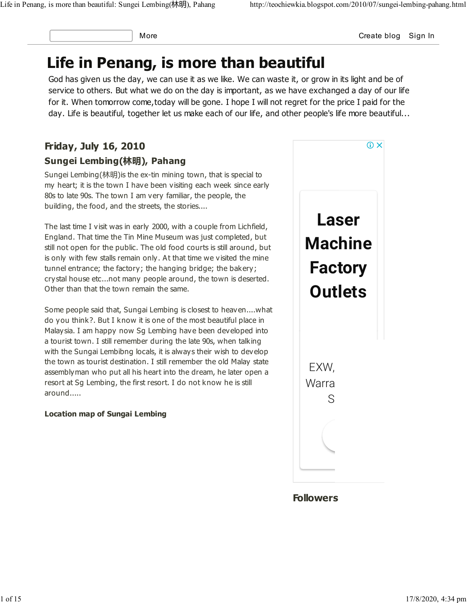More **Create blog Sign In** 

# Life in Penang, is more than beautiful

God has given us the day, we can use it as we like. We can waste it, or grow in its light and be of service to others. But what we do on the day is important, as we have exchanged a day of our life for it. When tomorrow come,today will be gone. I hope I will not regret for the price I paid for the day. Life is beautiful, together let us make each of our life, and other people's life more beautiful...

# Friday, July 16, 2010 Sungei Lembing(林明), Pahang

Sungei Lembing(林明)is the ex-tin mining town, that is special to my heart; it is the town I have been visiting each week since early 80s to late 90s. The town I am very familiar, the people, the building, the food, and the streets, the stories....

The last time I visit was in early 2000, with a couple from Lichfield, England. That time the Tin Mine Museum was just completed, but still not open for the public. The old food courts is still around, but is only with few stalls remain only. At that time we visited the mine tunnel entrance; the factory; the hanging bridge; the bakery; crystal house etc...not many people around, the town is deserted. Other than that the town remain the same.

Some people said that, Sungai Lembing is closest to heaven....what do you think?. But I know it is one of the most beautiful place in Malaysia. I am happy now Sg Lembing have been developed into a tourist town. I still remember during the late 90s, when talking with the Sungai Lembibng locals, it is always their wish to develop the town as tourist destination. I still remember the old Malay state assemblyman who put all his heart into the dream, he later open a resort at Sg Lembing, the first resort. I do not know he is still around.....

#### Location map of Sungai Lembing

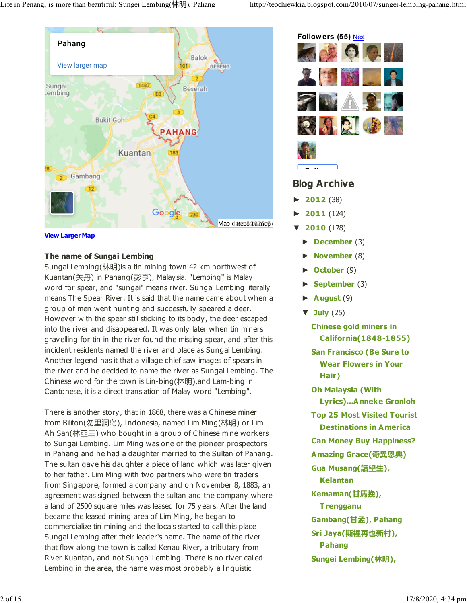

View Larger Map

#### The name of Sungai Lembing

Sungai Lembing(林明)is a tin mining town 42 km northwest of Kuantan(关丹) in Pahang(彭亨), Malaysia. "Lembing" is Malay word for spear, and "sungai" means river. Sungai Lembing literally means The Spear River. It is said that the name came about when a group of men went hunting and successfully speared a deer. However with the spear still sticking to its body, the deer escaped into the river and disappeared. It was only later when tin miners gravelling for tin in the river found the missing spear, and after this incident residents named the river and place as Sungai Lembing. Another legend has it that a village chief saw images of spears in the river and he decided to name the river as Sungai Lembing. The Chinese word for the town is Lin-bing(林明),and Lam-bing in Cantonese, it is a direct translation of Malay word "Lembing".

There is another story, that in 1868, there was a Chinese miner from Biliton(勿里洞岛), Indonesia, named Lim Ming(林明) or Lim Ah San(林亞三) who bought in a group of Chinese mine workers to Sungai Lembing. Lim Ming was one of the pioneer prospectors in Pahang and he had a daughter married to the Sultan of Pahang. The sultan gave his daughter a piece of land which was later given to her father. Lim Ming with two partners who were tin traders from Singapore, formed a company and on November 8, 1883, an agreement was signed between the sultan and the company where a land of 2500 square miles was leased for 75 years. After the land became the leased mining area of Lim Ming, he began to commercialize tin mining and the locals started to call this place Sungai Lembing after their leader's name. The name of the river that flow along the town is called Kenau River, a tributary from River Kuantan, and not Sungai Lembing. There is no river called Lembing in the area, the name was most probably a linguistic



#### Blog Archive

- **►** 2012 (38)
- **►** 2011 (124)
- **▼** 2010 (178)
	- **►** December (3)
	- **November** (8)
	- **►** October (9)
	- **September** (3)
	- **►** August (9)
	- **▼** July (25)
		- Chinese gold miners in California(1848-1855)
		- San Francisco (Be Sure to Wear Flowers in Your Hair)
		- Oh Malaysia (With Lyrics)...Anneke Gronloh Top 25 Most Visited Tourist Destinations in America Can Money Buy Happiness? Amazing Grace(奇異恩典) Gua Musang(話望生), Kelantan Kemaman(甘馬挽), **Trengganu** Gambang(甘孟), Pahang Sri Jaya(斯裡再也新村), Pahang
		- Sungei Lembing(林明),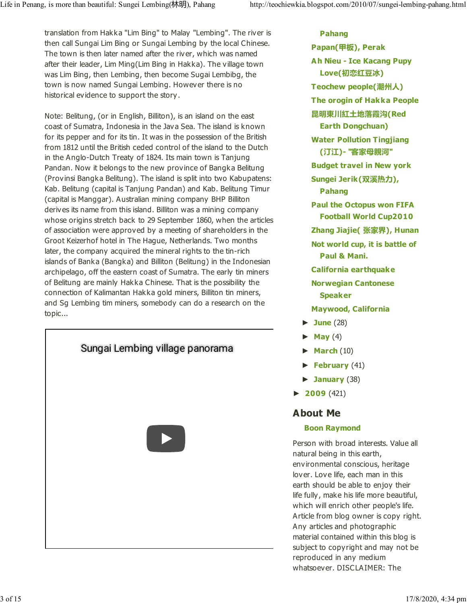translation from Hakka "Lim Bing" to Malay "Lembing". The river is then call Sungai Lim Bing or Sungai Lembing by the local Chinese. The town is then later named after the river, which was named after their leader, Lim Ming(Lim Bing in Hakka). The village town was Lim Bing, then Lembing, then become Sugai Lembibg, the town is now named Sungai Lembing. However there is no historical evidence to support the story.

Note: Belitung, (or in English, Billiton), is an island on the east coast of Sumatra, Indonesia in the Java Sea. The island is known for its pepper and for its tin. It was in the possession of the British from 1812 until the British ceded control of the island to the Dutch in the Anglo-Dutch Treaty of 1824. Its main town is Tanjung Pandan. Now it belongs to the new province of Bangka Belitung (Provinsi Bangka Belitung). The island is split into two Kabupatens: Kab. Belitung (capital is Tanjung Pandan) and Kab. Belitung Timur (capital is Manggar). Australian mining company BHP Billiton derives its name from this island. Billiton was a mining company whose origins stretch back to 29 September 1860, when the articles of association were approved by a meeting of shareholders in the Groot Keizerhof hotel in The Hague, Netherlands. Two months later, the company acquired the mineral rights to the tin-rich islands of Banka (Bangka) and Billiton (Belitung) in the Indonesian archipelago, off the eastern coast of Sumatra. The early tin miners of Belitung are mainly Hakka Chinese. That is the possibility the connection of Kalimantan Hakka gold miners, Billiton tin miners, and Sg Lembing tim miners, somebody can do a research on the topic...



Pahang Papan(甲板), Perak Ah Nieu - Ice Kacang Pupy Love(初恋红豆冰) Teochew people(潮州人) The orogin of Hakka People 昆明東川紅土地落霞沟(Red Earth Dongchuan) Water Pollution Tingjiang (汀江)- "客家母親河" Budget travel in New york Sungei Jerik(双溪热力), Pahang Paul the Octopus won FIFA Football World Cup2010 Zhang Jiajie( 张家界), Hunan Not world cup, it is battle of Paul & Mani. California earthquake Norwegian Cantonese Speaker Maywood, California **►** June (28) **May** (4)

- **March** (10)
- **►** February (41)
- **►** January (38)
- **►** 2009 (421)

### About Me

#### Boon Raymond

Person with broad interests. Value all natural being in this earth, environmental conscious, heritage lover. Love life, each man in this earth should be able to enjoy their life fully, make his life more beautiful, which will enrich other people's life. Article from blog owner is copy right. Any articles and photographic material contained within this blog is subject to copyright and may not be reproduced in any medium whatsoever. DISCLAIMER: The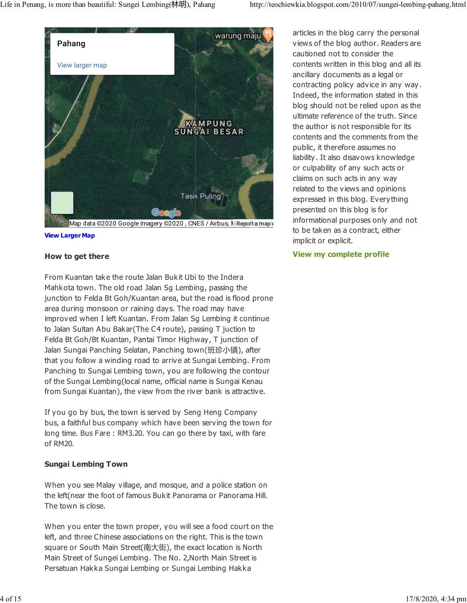

Map data ©2020 Google Imagery ©2020, CNES / Airbus, MReport a map e View Larger Map

## How to get there

From Kuantan take the route Jalan Bukit Ubi to the Indera Mahkota town. The old road Jalan Sg Lembing, passing the junction to Felda Bt Goh/Kuantan area, but the road is flood prone area during monsoon or raining days. The road may have improved when I left Kuantan. From Jalan Sg Lembing it continue to Jalan Sultan Abu Bakar(The C4 route), passing T juction to Felda Bt Goh/Bt Kuantan, Pantai Timor Highway, T junction of Jalan Sungai Panching Selatan, Panching town(班珍小镇), after that you follow a winding road to arrive at Sungai Lembing. From Panching to Sungai Lembing town, you are following the contour of the Sungai Lembing(local name, official name is Sungai Kenau from Sungai Kuantan), the view from the river bank is attractive.

If you go by bus, the town is served by Seng Heng Company bus, a faithful bus company which have been serving the town for long time. Bus Fare : RM3.20. You can go there by taxi, with fare of RM20.

#### Sungai Lembing Town

When you see Malay village, and mosque, and a police station on the left(near the foot of famous Bukit Panorama or Panorama Hill. The town is close.

When you enter the town proper, you will see a food court on the left, and three Chinese associations on the right. This is the town square or South Main Street(南大街), the exact location is North Main Street of Sungei Lembing. The No. 2,North Main Street is Persatuan Hakka Sungai Lembing or Sungai Lembing Hakka

articles in the blog carry the personal views of the blog author. Readers are cautioned not to consider the contents written in this blog and all its ancillary documents as a legal or contracting policy advice in any way. Indeed, the information stated in this blog should not be relied upon as the ultimate reference of the truth. Since the author is not responsible for its contents and the comments from the public, it therefore assumes no liability. It also disavows knowledge or culpability of any such acts or claims on such acts in any way related to the views and opinions expressed in this blog. Everything presented on this blog is for informational purposes only and not to be taken as a contract, either implicit or explicit.

#### View my complete profile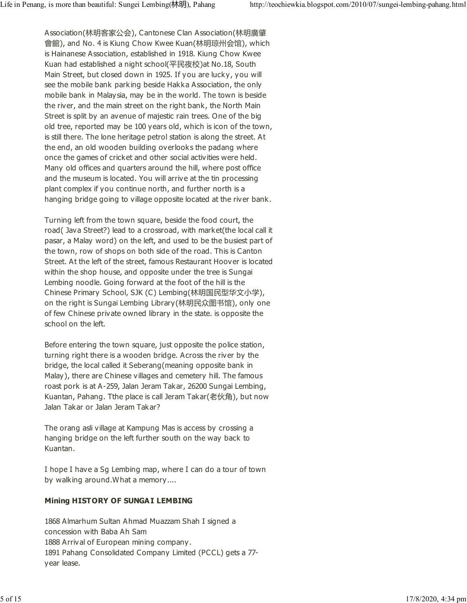Association(林明客家公会), Cantonese Clan Association(林明廣肇 會館), and No. 4 is Kiung Chow Kwee Kuan(林明琼州会馆), which is Hainanese Association, established in 1918. Kiung Chow Kwee Kuan had established a night school(平民夜校)at No.18, South Main Street, but closed down in 1925. If you are lucky, you will see the mobile bank parking beside Hakka Association, the only mobile bank in Malaysia, may be in the world. The town is beside the river, and the main street on the right bank, the North Main Street is split by an avenue of majestic rain trees. One of the big old tree, reported may be 100 years old, which is icon of the town, is still there. The lone heritage petrol station is along the street. At the end, an old wooden building overlooks the padang where once the games of cricket and other social activities were held. Many old offices and quarters around the hill, where post office and the museum is located. You will arrive at the tin processing plant complex if you continue north, and further north is a hanging bridge going to village opposite located at the river bank.

Turning left from the town square, beside the food court, the road( Java Street?) lead to a crossroad, with market(the local call it pasar, a Malay word) on the left, and used to be the busiest part of the town, row of shops on both side of the road. This is Canton Street. At the left of the street, famous Restaurant Hoover is located within the shop house, and opposite under the tree is Sungai Lembing noodle. Going forward at the foot of the hill is the Chinese Primary School, SJK (C) Lembing(林明国民型华文小学), on the right is Sungai Lembing Library(林明民众图书馆), only one of few Chinese private owned library in the state. is opposite the school on the left.

Before entering the town square, just opposite the police station, turning right there is a wooden bridge. Across the river by the bridge, the local called it Seberang(meaning opposite bank in Malay), there are Chinese villages and cemetery hill. The famous roast pork is at A-259, Jalan Jeram Takar, 26200 Sungai Lembing, Kuantan, Pahang. Tthe place is call Jeram Takar(老伙角), but now Jalan Takar or Jalan Jeram Takar?

The orang asli village at Kampung Mas is access by crossing a hanging bridge on the left further south on the way back to Kuantan.

I hope I have a Sg Lembing map, where I can do a tour of town by walking around.What a memory....

#### Mining HISTORY OF SUNGAI LEMBING

1868 Almarhum Sultan Ahmad Muazzam Shah I signed a concession with Baba Ah Sam 1888 Arrival of European mining company. 1891 Pahang Consolidated Company Limited (PCCL) gets a 77 year lease.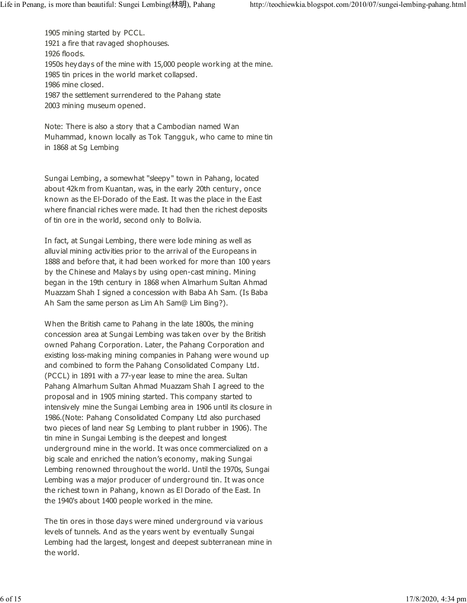1905 mining started by PCCL. 1921 a fire that ravaged shophouses. 1926 floods. 1950s heydays of the mine with 15,000 people working at the mine. 1985 tin prices in the world market collapsed. 1986 mine closed. 1987 the settlement surrendered to the Pahang state 2003 mining museum opened.

Note: There is also a story that a Cambodian named Wan Muhammad, known locally as Tok Tangguk, who came to mine tin in 1868 at Sg Lembing

Sungai Lembing, a somewhat "sleepy" town in Pahang, located about 42km from Kuantan, was, in the early 20th century, once known as the El-Dorado of the East. It was the place in the East where financial riches were made. It had then the richest deposits of tin ore in the world, second only to Bolivia.

In fact, at Sungai Lembing, there were lode mining as well as alluvial mining activities prior to the arrival of the Europeans in 1888 and before that, it had been worked for more than 100 years by the Chinese and Malays by using open-cast mining. Mining began in the 19th century in 1868 when Almarhum Sultan Ahmad Muazzam Shah I signed a concession with Baba Ah Sam. (Is Baba Ah Sam the same person as Lim Ah Sam@ Lim Bing?).

When the British came to Pahang in the late 1800s, the mining concession area at Sungai Lembing was taken over by the British owned Pahang Corporation. Later, the Pahang Corporation and existing loss-making mining companies in Pahang were wound up and combined to form the Pahang Consolidated Company Ltd. (PCCL) in 1891 with a 77-year lease to mine the area. Sultan Pahang Almarhum Sultan Ahmad Muazzam Shah I agreed to the proposal and in 1905 mining started. This company started to intensively mine the Sungai Lembing area in 1906 until its closure in 1986.(Note: Pahang Consolidated Company Ltd also purchased two pieces of land near Sg Lembing to plant rubber in 1906). The tin mine in Sungai Lembing is the deepest and longest underground mine in the world. It was once commercialized on a big scale and enriched the nation's economy, making Sungai Lembing renowned throughout the world. Until the 1970s, Sungai Lembing was a major producer of underground tin. It was once the richest town in Pahang, known as El Dorado of the East. In the 1940's about 1400 people worked in the mine.

The tin ores in those days were mined underground via various levels of tunnels. And as the years went by eventually Sungai Lembing had the largest, longest and deepest subterranean mine in the world.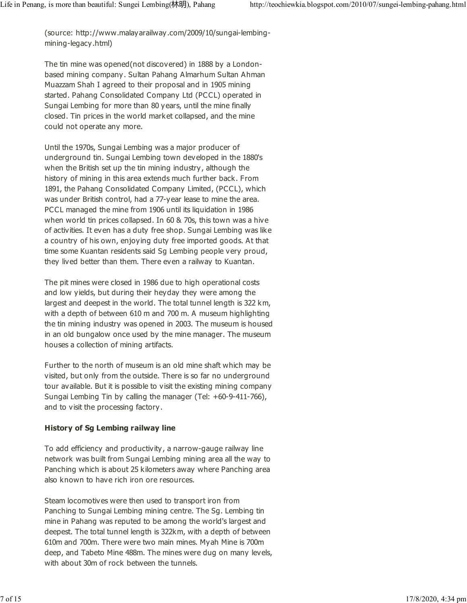(source: http://www.malayarailway.com/2009/10/sungai-lembingmining-legacy.html)

The tin mine was opened(not discovered) in 1888 by a Londonbased mining company. Sultan Pahang Almarhum Sultan Ahman Muazzam Shah I agreed to their proposal and in 1905 mining started. Pahang Consolidated Company Ltd (PCCL) operated in Sungai Lembing for more than 80 years, until the mine finally closed. Tin prices in the world market collapsed, and the mine could not operate any more.

Until the 1970s, Sungai Lembing was a major producer of underground tin. Sungai Lembing town developed in the 1880's when the British set up the tin mining industry, although the history of mining in this area extends much further back. From 1891, the Pahang Consolidated Company Limited, (PCCL), which was under British control, had a 77-year lease to mine the area. PCCL managed the mine from 1906 until its liquidation in 1986 when world tin prices collapsed. In 60 & 70s, this town was a hive of activities. It even has a duty free shop. Sungai Lembing was like a country of his own, enjoying duty free imported goods. At that time some Kuantan residents said Sg Lembing people very proud, they lived better than them. There even a railway to Kuantan.

The pit mines were closed in 1986 due to high operational costs and low yields, but during their heyday they were among the largest and deepest in the world. The total tunnel length is 322 km, with a depth of between 610 m and 700 m. A museum highlighting the tin mining industry was opened in 2003. The museum is housed in an old bungalow once used by the mine manager. The museum houses a collection of mining artifacts.

Further to the north of museum is an old mine shaft which may be visited, but only from the outside. There is so far no underground tour available. But it is possible to visit the existing mining company Sungai Lembing Tin by calling the manager (Tel: +60-9-411-766), and to visit the processing factory.

#### History of Sg Lembing railway line

To add efficiency and productivity, a narrow-gauge railway line network was built from Sungai Lembing mining area all the way to Panching which is about 25 kilometers away where Panching area also known to have rich iron ore resources.

Steam locomotives were then used to transport iron from Panching to Sungai Lembing mining centre. The Sg. Lembing tin mine in Pahang was reputed to be among the world's largest and deepest. The total tunnel length is 322km, with a depth of between 610m and 700m. There were two main mines. Myah Mine is 700m deep, and Tabeto Mine 488m. The mines were dug on many levels, with about 30m of rock between the tunnels.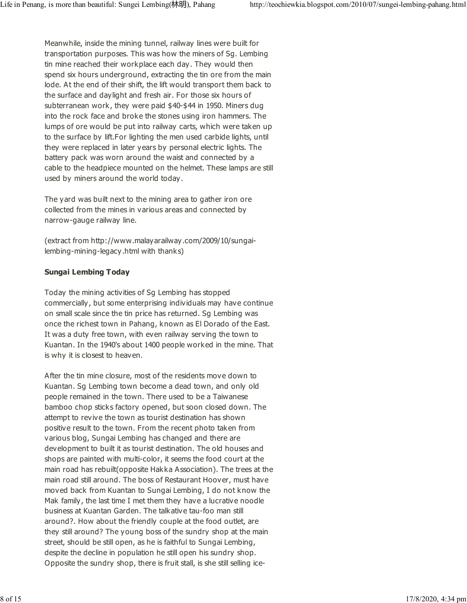Meanwhile, inside the mining tunnel, railway lines were built for transportation purposes. This was how the miners of Sg. Lembing tin mine reached their workplace each day. They would then spend six hours underground, extracting the tin ore from the main lode. At the end of their shift, the lift would transport them back to the surface and daylight and fresh air. For those six hours of subterranean work, they were paid \$40-\$44 in 1950. Miners dug into the rock face and broke the stones using iron hammers. The lumps of ore would be put into railway carts, which were taken up to the surface by lift.For lighting the men used carbide lights, until they were replaced in later years by personal electric lights. The battery pack was worn around the waist and connected by a cable to the headpiece mounted on the helmet. These lamps are still used by miners around the world today.

The yard was built next to the mining area to gather iron ore collected from the mines in various areas and connected by narrow-gauge railway line.

(extract from http://www.malayarailway.com/2009/10/sungailembing-mining-legacy.html with thanks)

#### Sungai Lembing Today

Today the mining activities of Sg Lembing has stopped commercially, but some enterprising individuals may have continue on small scale since the tin price has returned. Sg Lembing was once the richest town in Pahang, known as El Dorado of the East. It was a duty free town, with even railway serving the town to Kuantan. In the 1940's about 1400 people worked in the mine. That is why it is closest to heaven.

After the tin mine closure, most of the residents move down to Kuantan. Sg Lembing town become a dead town, and only old people remained in the town. There used to be a Taiwanese bamboo chop sticks factory opened, but soon closed down. The attempt to revive the town as tourist destination has shown positive result to the town. From the recent photo taken from various blog, Sungai Lembing has changed and there are development to built it as tourist destination. The old houses and shops are painted with multi-color, it seems the food court at the main road has rebuilt(opposite Hakka Association). The trees at the main road still around. The boss of Restaurant Hoover, must have moved back from Kuantan to Sungai Lembing, I do not know the Mak family, the last time I met them they have a lucrative noodle business at Kuantan Garden. The talkative tau-foo man still around?. How about the friendly couple at the food outlet, are they still around? The young boss of the sundry shop at the main street, should be still open, as he is faithful to Sungai Lembing, despite the decline in population he still open his sundry shop. Opposite the sundry shop, there is fruit stall, is she still selling ice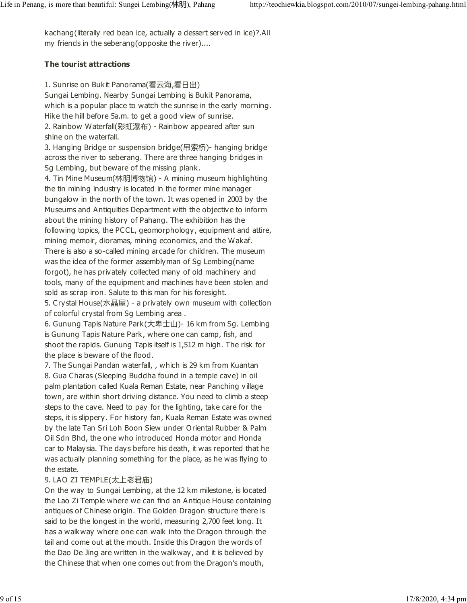kachang(literally red bean ice, actually a dessert served in ice)?.All my friends in the seberang(opposite the river)....

### The tourist attractions

1. Sunrise on Bukit Panorama(看云海,看日出) Sungai Lembing. Nearby Sungai Lembing is Bukit Panorama, which is a popular place to watch the sunrise in the early morning. Hike the hill before 5a.m. to get a good view of sunrise. 2. Rainbow Waterfall(彩虹瀑布) - Rainbow appeared after sun shine on the waterfall.

3. Hanging Bridge or suspension bridge(吊索桥)- hanging bridge across the river to seberang. There are three hanging bridges in Sg Lembing, but beware of the missing plank.

4. Tin Mine Museum(林明博物馆) - A mining museum highlighting the tin mining industry is located in the former mine manager bungalow in the north of the town. It was opened in 2003 by the Museums and Antiquities Department with the objective to inform about the mining history of Pahang. The exhibition has the following topics, the PCCL, geomorphology, equipment and attire, mining memoir, dioramas, mining economics, and the Wakaf. There is also a so-called mining arcade for children. The museum was the idea of the former assemblyman of Sg Lembing(name forgot), he has privately collected many of old machinery and tools, many of the equipment and machines have been stolen and sold as scrap iron. Salute to this man for his foresight.

5. Crystal House(水晶屋) - a privately own museum with collection of colorful crystal from Sg Lembing area .

6. Gunung Tapis Nature Park(大卑士山)- 16 km from Sg. Lembing is Gunung Tapis Nature Park, where one can camp, fish, and shoot the rapids. Gunung Tapis itself is 1,512 m high. The risk for the place is beware of the flood.

7. The Sungai Pandan waterfall, , which is 29 km from Kuantan 8. Gua Charas (Sleeping Buddha found in a temple cave) in oil palm plantation called Kuala Reman Estate, near Panching village town, are within short driving distance. You need to climb a steep steps to the cave. Need to pay for the lighting, take care for the steps, it is slippery. For history fan, Kuala Reman Estate was owned by the late Tan Sri Loh Boon Siew under Oriental Rubber & Palm Oil Sdn Bhd, the one who introduced Honda motor and Honda car to Malaysia. The days before his death, it was reported that he was actually planning something for the place, as he was flying to the estate.

### 9. LAO ZI TEMPLE(太上老君庙)

On the way to Sungai Lembing, at the 12 km milestone, is located the Lao Zi Temple where we can find an Antique House containing antiques of Chinese origin. The Golden Dragon structure there is said to be the longest in the world, measuring 2,700 feet long. It has a walkway where one can walk into the Dragon through the tail and come out at the mouth. Inside this Dragon the words of the Dao De Jing are written in the walkway, and it is believed by the Chinese that when one comes out from the Dragon's mouth,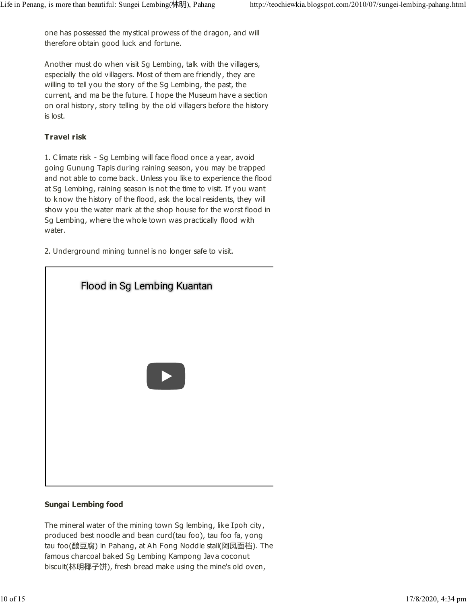one has possessed the mystical prowess of the dragon, and will therefore obtain good luck and fortune.

Another must do when visit Sg Lembing, talk with the villagers, especially the old villagers. Most of them are friendly, they are willing to tell you the story of the Sg Lembing, the past, the current, and ma be the future. I hope the Museum have a section on oral history, story telling by the old villagers before the history is lost.

#### Travel risk

1. Climate risk - Sg Lembing will face flood once a year, avoid going Gunung Tapis during raining season, you may be trapped and not able to come back. Unless you like to experience the flood at Sg Lembing, raining season is not the time to visit. If you want to know the history of the flood, ask the local residents, they will show you the water mark at the shop house for the worst flood in Sg Lembing, where the whole town was practically flood with water.

2. Underground mining tunnel is no longer safe to visit.



#### Sungai Lembing food

The mineral water of the mining town Sg lembing, like Ipoh city, produced best noodle and bean curd(tau foo), tau foo fa, yong tau foo(酿豆腐) in Pahang, at Ah Fong Noddle stall(阿凤面档). The famous charcoal baked Sg Lembing Kampong Java coconut biscuit(林明椰子饼), fresh bread make using the mine's old oven,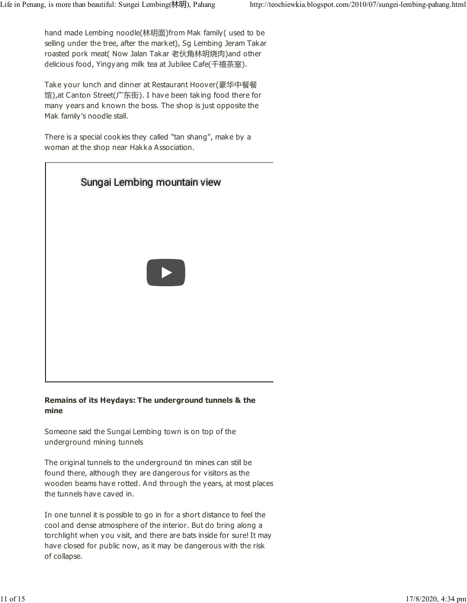hand made Lembing noodle(林明面)from Mak family( used to be selling under the tree, after the market), Sg Lembing Jeram Takar roasted pork meat( Now Jalan Takar 老伙角林明烧肉)and other delicious food, Yingyang milk tea at Jubilee Cafe(千禧茶室).

Take your lunch and dinner at Restaurant Hoover(豪华中餐餐 馆),at Canton Street(广东街). I have been taking food there for many years and known the boss. The shop is just opposite the Mak family's noodle stall.

There is a special cookies they called "tan shang", make by a woman at the shop near Hakka Association.



#### Remains of its Heydays: The underground tunnels & the mine

Someone said the Sungai Lembing town is on top of the underground mining tunnels

The original tunnels to the underground tin mines can still be found there, although they are dangerous for visitors as the wooden beams have rotted. And through the years, at most places the tunnels have caved in.

In one tunnel it is possible to go in for a short distance to feel the cool and dense atmosphere of the interior. But do bring along a torchlight when you visit, and there are bats inside for sure! It may have closed for public now, as it may be dangerous with the risk of collapse.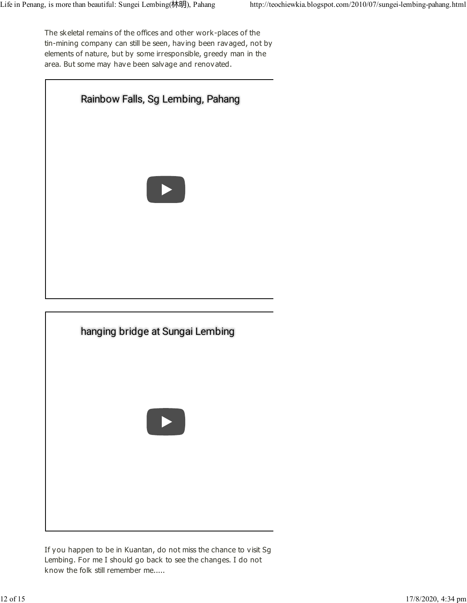The skeletal remains of the offices and other work-places of the tin-mining company can still be seen, having been ravaged, not by elements of nature, but by some irresponsible, greedy man in the area. But some may have been salvage and renovated.





If you happen to be in Kuantan, do not miss the chance to visit Sg Lembing. For me I should go back to see the changes. I do not know the folk still remember me.....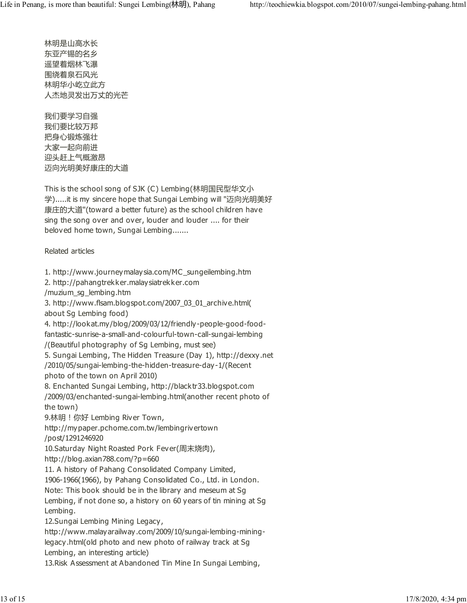林明是山高水长 东亚产锡的名乡 遥望着烟林飞瀑 围绕着泉石风光 林明华小屹立此方 人杰地灵发出万丈的光芒

我们要学习自强 我们要比较万邦 把身心锻炼强壮 大家一起向前进 迎头赶上气概激昂 迈向光明美好康庄的大道

This is the school song of SJK (C) Lembing(林明国民型华文小 学).....it is my sincere hope that Sungai Lembing will "迈向光明美好 康庄的大道"(toward a better future) as the school children have sing the song over and over, louder and louder .... for their beloved home town, Sungai Lembing.......

Related articles

1. http://www.journeymalaysia.com/MC\_sungeilembing.htm

2. http://pahangtrekker.malaysiatrekker.com

/muzium\_sg\_lembing.htm

3. http://www.flsam.blogspot.com/2007\_03\_01\_archive.html( about Sg Lembing food)

4. http://lookat.my/blog/2009/03/12/friendly-people-good-foodfantastic-sunrise-a-small-and-colourful-town-call-sungai-lembing

/(Beautiful photography of Sg Lembing, must see)

5. Sungai Lembing, The Hidden Treasure (Day 1), http://dexxy.net

/2010/05/sungai-lembing-the-hidden-treasure-day-1/(Recent photo of the town on April 2010)

8. Enchanted Sungai Lembing, http://blacktr33.blogspot.com /2009/03/enchanted-sungai-lembing.html(another recent photo of the town)

9.林明!你好 Lembing River Town,

http://mypaper.pchome.com.tw/lembingrivertown

/post/1291246920

10.Saturday Night Roasted Pork Fever(周末烧肉),

http://blog.axian788.com/?p=660

11. A history of Pahang Consolidated Company Limited,

1906-1966(1966), by Pahang Consolidated Co., Ltd. in London.

Note: This book should be in the library and meseum at Sg

Lembing, if not done so, a history on 60 years of tin mining at Sg Lembing.

12.Sungai Lembing Mining Legacy,

http://www.malayarailway.com/2009/10/sungai-lembing-mininglegacy.html(old photo and new photo of railway track at Sg Lembing, an interesting article)

13.Risk Assessment at Abandoned Tin Mine In Sungai Lembing,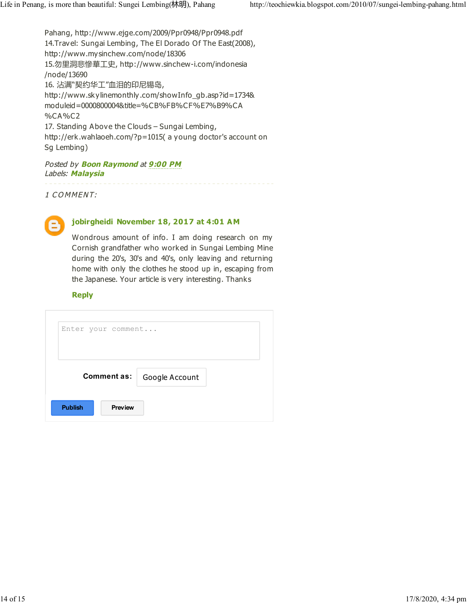Pahang, http://www.ejge.com/2009/Ppr0948/Ppr0948.pdf 14.Travel: Sungai Lembing, The El Dorado Of The East(2008), http://www.mysinchew.com/node/18306 15.勿里洞悲慘華工史, http://www.sinchew-i.com/indonesia /node/13690 16. 沾满"契约华工"血泪的印尼锡岛, http://www.skylinemonthly.com/showInfo\_gb.asp?id=1734& moduleid=0000800004&title=%CB%FB%CF%E7%B9%CA %CA%C2 17. Standing Above the Clouds – Sungai Lembing, http://erk.wahlaoeh.com/?p=1015( a young doctor's account on Sg Lembing)

#### Posted by **Boon Raymond** at 9:00 PM Labels: Malaysia

1 C O MMENT:



#### jobirgheidi November 18, 2017 at 4:01 AM

Wondrous amount of info. I am doing research on my Cornish grandfather who worked in Sungai Lembing Mine during the 20's, 30's and 40's, only leaving and returning home with only the clothes he stood up in, escaping from the Japanese. Your article is very interesting. Thanks

#### **Reply**

| Enter your comment               |  |
|----------------------------------|--|
| Comment as:   Google Account     |  |
| <b>Publish</b><br><b>Preview</b> |  |